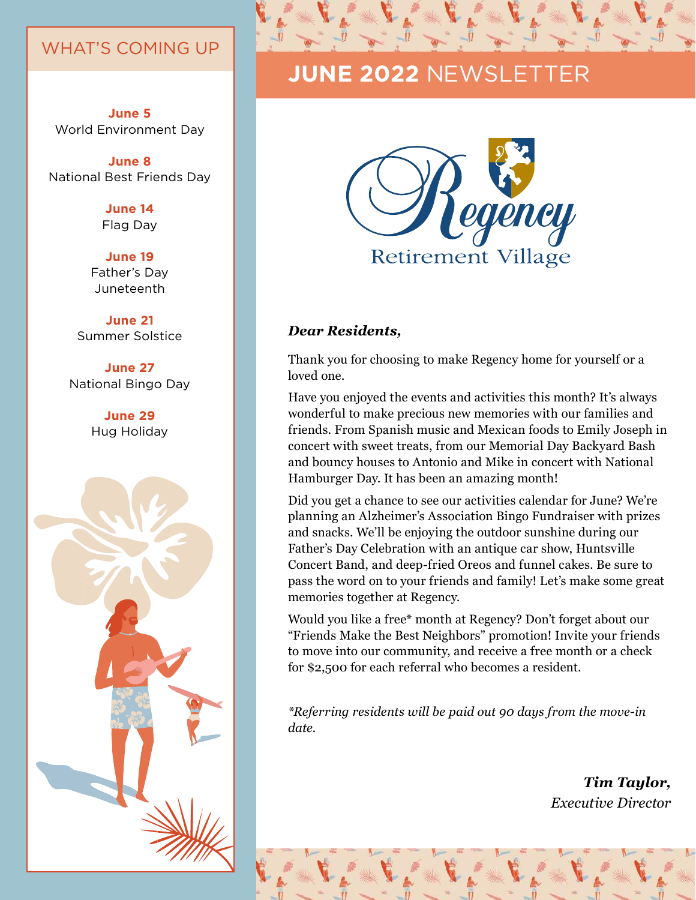#### WHAT'S COMING UP

**June 5** World Environment Day

**June 8** National Best Friends Day

> **June 14** Flag Day

**June 19** Father's Day Juneteenth

**June 21** Summer Solstice

**June 27**  National Bingo Day

> **June 29** Hug Holiday



# **JUNE 2022** NEWSLETTER



#### *Dear Residents,*

Thank you for choosing to make Regency home for yourself or a loved one.

Have you enjoyed the events and activities this month? It's always wonderful to make precious new memories with our families and friends. From Spanish music and Mexican foods to Emily Joseph in concert with sweet treats, from our Memorial Day Backyard Bash and bouncy houses to Antonio and Mike in concert with National Hamburger Day. It has been an amazing month!

Did you get a chance to see our activities calendar for June? We're planning an Alzheimer's Association Bingo Fundraiser with prizes and snacks. We'll be enjoying the outdoor sunshine during our Father's Day Celebration with an antique car show, Huntsville Concert Band, and deep-fried Oreos and funnel cakes. Be sure to pass the word on to your friends and family! Let's make some great memories together at Regency.

Would you like a free\* month at Regency? Don't forget about our "Friends Make the Best Neighbors" promotion! Invite your friends to move into our community, and receive a free month or a check for \$2,500 for each referral who becomes a resident.

*\*Referring residents will be paid out 90 days from the move-in date.*

> *Tim Taylor, Executive Director*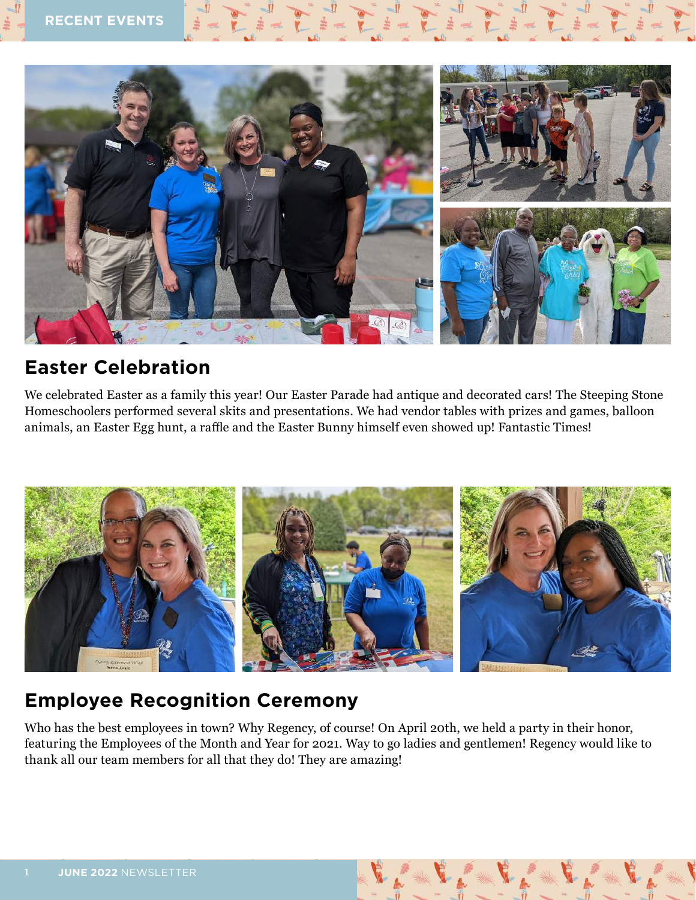

### **Easter Celebration**

We celebrated Easter as a family this year! Our Easter Parade had antique and decorated cars! The Steeping Stone Homeschoolers performed several skits and presentations. We had vendor tables with prizes and games, balloon animals, an Easter Egg hunt, a raffle and the Easter Bunny himself even showed up! Fantastic Times!



### **Employee Recognition Ceremony**

Who has the best employees in town? Why Regency, of course! On April 20th, we held a party in their honor, featuring the Employees of the Month and Year for 2021. Way to go ladies and gentlemen! Regency would like to thank all our team members for all that they do! They are amazing!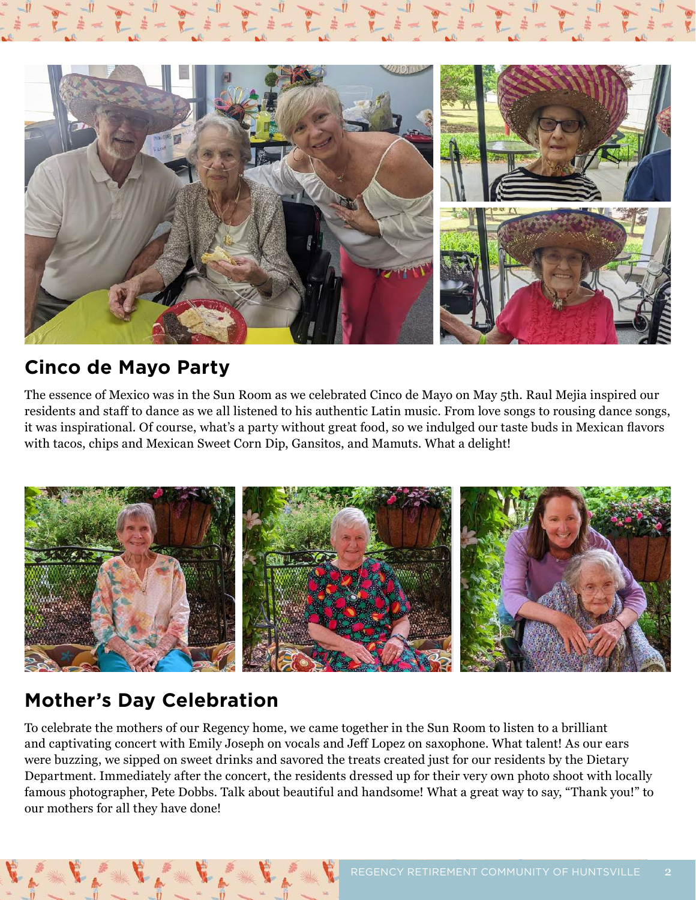

### **Cinco de Mayo Party**

The essence of Mexico was in the Sun Room as we celebrated Cinco de Mayo on May 5th. Raul Mejia inspired our residents and staff to dance as we all listened to his authentic Latin music. From love songs to rousing dance songs, it was inspirational. Of course, what's a party without great food, so we indulged our taste buds in Mexican flavors with tacos, chips and Mexican Sweet Corn Dip, Gansitos, and Mamuts. What a delight!



## **Mother's Day Celebration**

To celebrate the mothers of our Regency home, we came together in the Sun Room to listen to a brilliant and captivating concert with Emily Joseph on vocals and Jeff Lopez on saxophone. What talent! As our ears were buzzing, we sipped on sweet drinks and savored the treats created just for our residents by the Dietary Department. Immediately after the concert, the residents dressed up for their very own photo shoot with locally famous photographer, Pete Dobbs. Talk about beautiful and handsome! What a great way to say, "Thank you!" to our mothers for all they have done!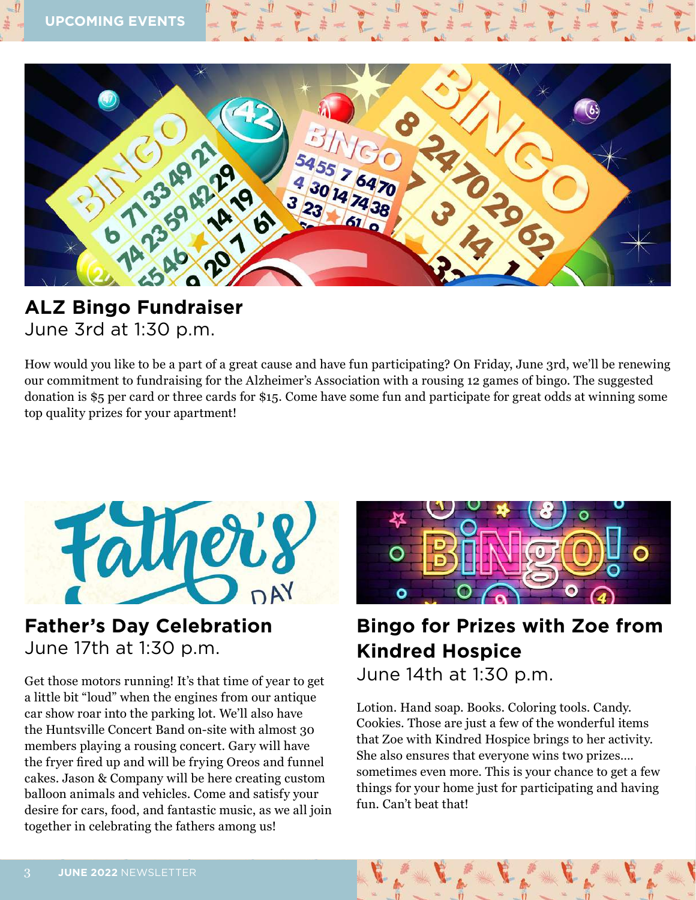

# **ALZ Bingo Fundraiser**

June 3rd at 1:30 p.m.

How would you like to be a part of a great cause and have fun participating? On Friday, June 3rd, we'll be renewing our commitment to fundraising for the Alzheimer's Association with a rousing 12 games of bingo. The suggested donation is \$5 per card or three cards for \$15. Come have some fun and participate for great odds at winning some top quality prizes for your apartment!



### **Father's Day Celebration** June 17th at 1:30 p.m.

Get those motors running! It's that time of year to get a little bit "loud" when the engines from our antique car show roar into the parking lot. We'll also have the Huntsville Concert Band on-site with almost 30 members playing a rousing concert. Gary will have the fryer fired up and will be frying Oreos and funnel cakes. Jason & Company will be here creating custom balloon animals and vehicles. Come and satisfy your desire for cars, food, and fantastic music, as we all join together in celebrating the fathers among us!



# **Bingo for Prizes with Zoe from Kindred Hospice**

June 14th at 1:30 p.m.

Lotion. Hand soap. Books. Coloring tools. Candy. Cookies. Those are just a few of the wonderful items that Zoe with Kindred Hospice brings to her activity. She also ensures that everyone wins two prizes…. sometimes even more. This is your chance to get a few things for your home just for participating and having fun. Can't beat that!



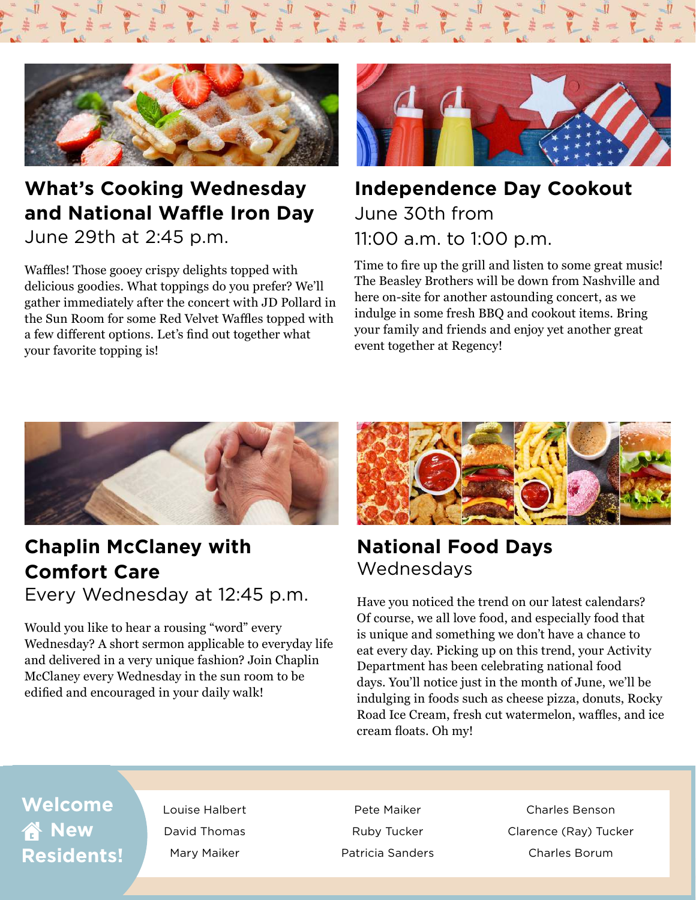

### **What's Cooking Wednesday and National Waffle Iron Day** June 29th at 2:45 p.m.

Waffles! Those gooey crispy delights topped with delicious goodies. What toppings do you prefer? We'll gather immediately after the concert with JD Pollard in the Sun Room for some Red Velvet Waffles topped with a few different options. Let's find out together what your favorite topping is!



### **Independence Day Cookout** June 30th from 11:00 a.m. to 1:00 p.m.

Time to fire up the grill and listen to some great music! The Beasley Brothers will be down from Nashville and here on-site for another astounding concert, as we indulge in some fresh BBQ and cookout items. Bring your family and friends and enjoy yet another great event together at Regency!



### **Chaplin McClaney with Comfort Care**

Every Wednesday at 12:45 p.m. Have you noticed the trend on our latest calendars?

Would you like to hear a rousing "word" every Wednesday? A short sermon applicable to everyday life and delivered in a very unique fashion? Join Chaplin McClaney every Wednesday in the sun room to be edified and encouraged in your daily walk!



### **National Food Days** Wednesdays

Of course, we all love food, and especially food that is unique and something we don't have a chance to eat every day. Picking up on this trend, your Activity Department has been celebrating national food days. You'll notice just in the month of June, we'll be indulging in foods such as cheese pizza, donuts, Rocky Road Ice Cream, fresh cut watermelon, waffles, and ice cream floats. Oh my!

### **Welcome New Residents!**

Louise Halbert David Thomas Mary Maiker

Pete Maiker Ruby Tucker Patricia Sanders

Charles Benson Clarence (Ray) Tucker Charles Borum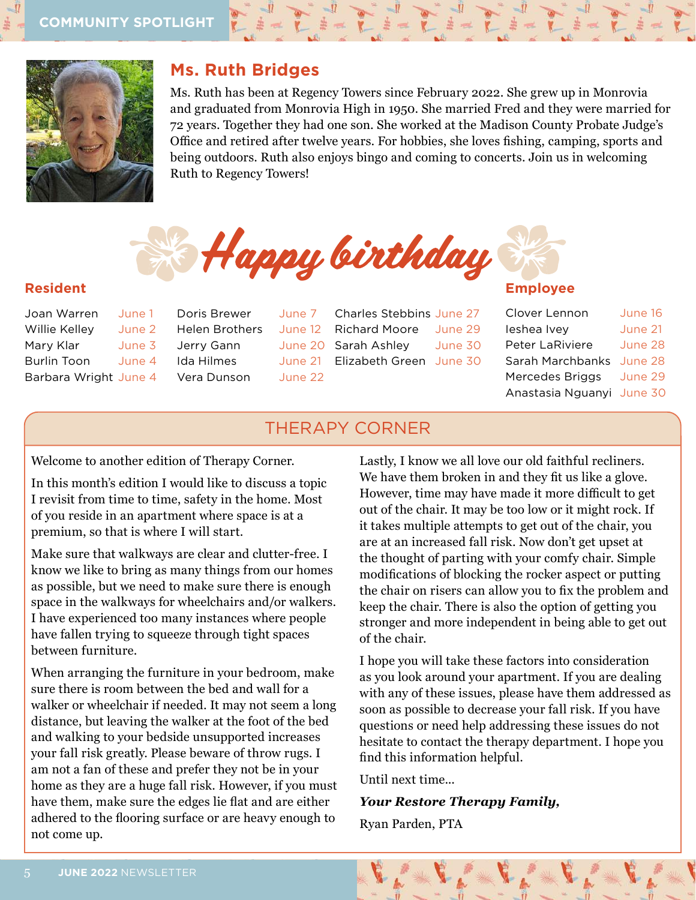

#### **Ms. Ruth Bridges**

Ms. Ruth has been at Regency Towers since February 2022. She grew up in Monrovia and graduated from Monrovia High in 1950. She married Fred and they were married for 72 years. Together they had one son. She worked at the Madison County Probate Judge's Office and retired after twelve years. For hobbies, she loves fishing, camping, sports and being outdoors. Ruth also enjoys bingo and coming to concerts. Join us in welcoming Ruth to Regency Towers!



June 7 June 12

June 21 June 22

Joan Warren Willie Kelley Mary Klar Burlin Toon Barbara Wright June 4 June 1 June 2 June 3 June 4 Doris Brewer Helen Brothers Jerry Gann Ida Hilmes Vera Dunson

June 20 Sarah Ashley Charles Stebbins June 27 Richard Moore Elizabeth Green June 30 June 29 June 30



| June 16                   |  |
|---------------------------|--|
| June 21                   |  |
| June 28                   |  |
| June 28                   |  |
| June 29                   |  |
| Anastasia Nguanyi June 30 |  |
|                           |  |

#### THERAPY CORNER

Welcome to another edition of Therapy Corner.

In this month's edition I would like to discuss a topic I revisit from time to time, safety in the home. Most of you reside in an apartment where space is at a premium, so that is where I will start.

Make sure that walkways are clear and clutter-free. I know we like to bring as many things from our homes as possible, but we need to make sure there is enough space in the walkways for wheelchairs and/or walkers. I have experienced too many instances where people have fallen trying to squeeze through tight spaces between furniture.

When arranging the furniture in your bedroom, make sure there is room between the bed and wall for a walker or wheelchair if needed. It may not seem a long distance, but leaving the walker at the foot of the bed and walking to your bedside unsupported increases your fall risk greatly. Please beware of throw rugs. I am not a fan of these and prefer they not be in your home as they are a huge fall risk. However, if you must have them, make sure the edges lie flat and are either adhered to the flooring surface or are heavy enough to not come up.

Lastly, I know we all love our old faithful recliners. We have them broken in and they fit us like a glove. However, time may have made it more difficult to get out of the chair. It may be too low or it might rock. If it takes multiple attempts to get out of the chair, you are at an increased fall risk. Now don't get upset at the thought of parting with your comfy chair. Simple modifications of blocking the rocker aspect or putting the chair on risers can allow you to fix the problem and keep the chair. There is also the option of getting you stronger and more independent in being able to get out of the chair.

I hope you will take these factors into consideration as you look around your apartment. If you are dealing with any of these issues, please have them addressed as soon as possible to decrease your fall risk. If you have questions or need help addressing these issues do not hesitate to contact the therapy department. I hope you find this information helpful.

Until next time...

*Your Restore Therapy Family,* 

Ryan Parden, PTA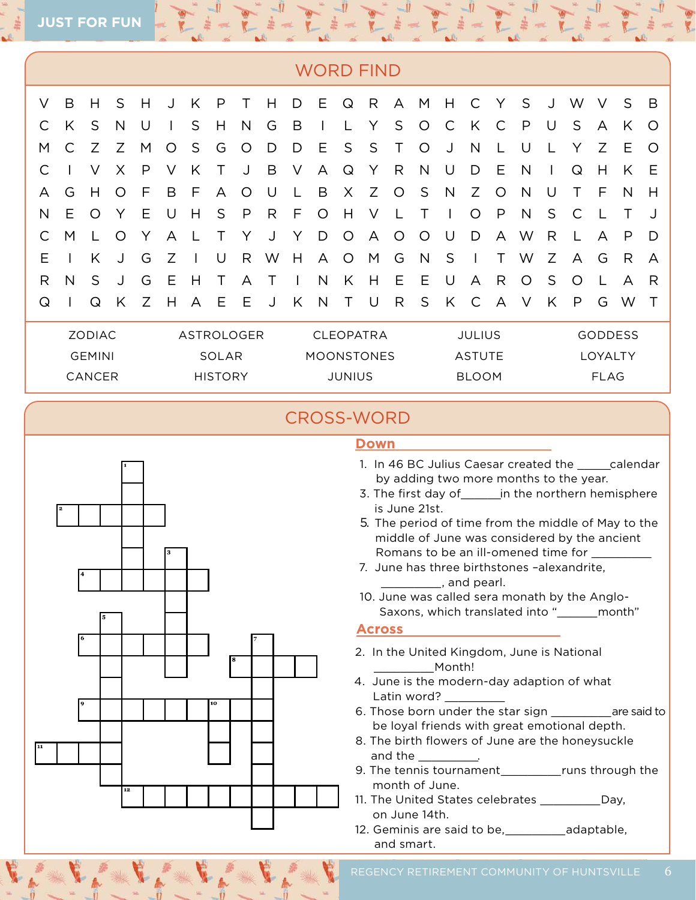|               | <b>WORD FIND</b> |          |         |       |                   |                |              |              |                   |                  |               |         |   |              |               |               |   |              |   |             |            |                |   |         |  |  |
|---------------|------------------|----------|---------|-------|-------------------|----------------|--------------|--------------|-------------------|------------------|---------------|---------|---|--------------|---------------|---------------|---|--------------|---|-------------|------------|----------------|---|---------|--|--|
| V             | B                | Н        | S       | Н     | J                 | Κ              | P            |              | H                 | D                | Ε             | Q       | R | A            | M             | Н             |   | Y            | S | J           | W          |                | S | B       |  |  |
| C             | K                | S        | N       | U     |                   | S              | $\mathsf{H}$ | N            | G                 | B                |               |         | Y | S            | O             | С             | Κ | С            | P | U           | S          | A              | K | O       |  |  |
| M             | C                | Ζ        | Ζ       | М     | O                 | S              | G            | Ο            | D                 | D                | Ε             | S       | S |              | O             |               | N |              |   |             |            |                | E | $\circ$ |  |  |
| C             |                  | V        | Χ       | P     | V                 | Κ              |              | J            | B                 | V                | A             | Q       | Y | R            | N             | U             | D | Ε            | N |             | Q          | Н              | K | Ε       |  |  |
| A             | G                | Н        | $\circ$ | F     | B                 | F              | A            | O            | U                 |                  | B             | X       | Z | O            | S             | N             | Z | O            | N | U           |            | F              | N | H       |  |  |
| N             | E                | $\Omega$ | Υ       | E     | U                 | Н              | S            | $\mathsf{P}$ | R                 | F                | O             | Н       | V |              |               |               | O | $\mathsf{P}$ | N | S           | С          |                |   | J       |  |  |
| C             | M                |          | O       |       | А                 |                |              |              | J                 |                  | D             | Ο       | А | ( )          | Ω             | U             | D | А            | W | R           |            | А              | P | D       |  |  |
| Е             |                  | K        | J       | G     | Ζ                 |                | U            | R            | W                 | Н                | A             | $\circ$ | M | G            | N             | S             |   |              | W | Ζ           | A          | G              | R | A       |  |  |
| R             | N                | S        | J       | G     | Ε                 | Н              | Τ            | A            |                   |                  | N             | Κ       | H | Ε            | Ε             | U             | А | R            | O | S           | $\bigcirc$ |                | A | R       |  |  |
| Q             |                  | Q        | K       | Z     | Н                 | A              | Е            | Ε            |                   | Κ                | N             |         |   | R            | S             | Κ             | С | A            | ν | Κ           | P          | G              | W |         |  |  |
| <b>ZODIAC</b> |                  |          |         |       | <b>ASTROLOGER</b> |                |              |              |                   | <b>CLEOPATRA</b> |               |         |   |              |               | <b>JULIUS</b> |   |              |   |             |            | <b>GODDESS</b> |   |         |  |  |
| <b>GEMINI</b> |                  |          |         | SOLAR |                   |                |              |              | <b>MOONSTONES</b> |                  |               |         |   |              | <b>ASTUTE</b> |               |   |              |   |             | LOYALTY    |                |   |         |  |  |
| CANCER        |                  |          |         |       |                   | <b>HISTORY</b> |              |              |                   |                  | <b>JUNIUS</b> |         |   | <b>BLOOM</b> |               |               |   |              |   | <b>FLAG</b> |            |                |   |         |  |  |

#### CROSS-WORD

#### **Down**

- 1. In 46 BC Julius Caesar created the calendar by adding two more months to the year.
- 3. The first day of\_\_\_\_\_\_in the northern hemisphere is June 21st.
- 5. The period of time from the middle of May to the middle of June was considered by the ancient Romans to be an ill-omened time for \_\_\_\_\_\_\_\_\_
- 7. June has three birthstones –alexandrite, \_\_\_\_\_\_\_\_\_ , and pearl.
- 10. June was called sera monath by the Anglo- Saxons, which translated into "\_\_\_\_\_\_ month"

#### **Across**

- 2. In the United Kingdom, June is National \_\_\_\_\_\_\_\_\_ Month!
- 4. June is the modern-day adaption of what Latin word? \_\_\_\_
- 6. Those born under the star sign \_\_\_\_\_\_\_\_\_ are said to be loyal friends with great emotional depth.
- 8. The birth flowers of June are the honeysuckle and the \_\_\_\_\_\_\_\_\_.
- 9. The tennis tournament\_\_\_\_\_\_\_\_\_ runs through the month of June.
- 11. The United States celebrates \_\_\_\_\_\_\_\_\_ Day, on June 14th.
- 12. Geminis are said to be, \_\_\_\_\_\_\_\_\_ adaptable, and smart.